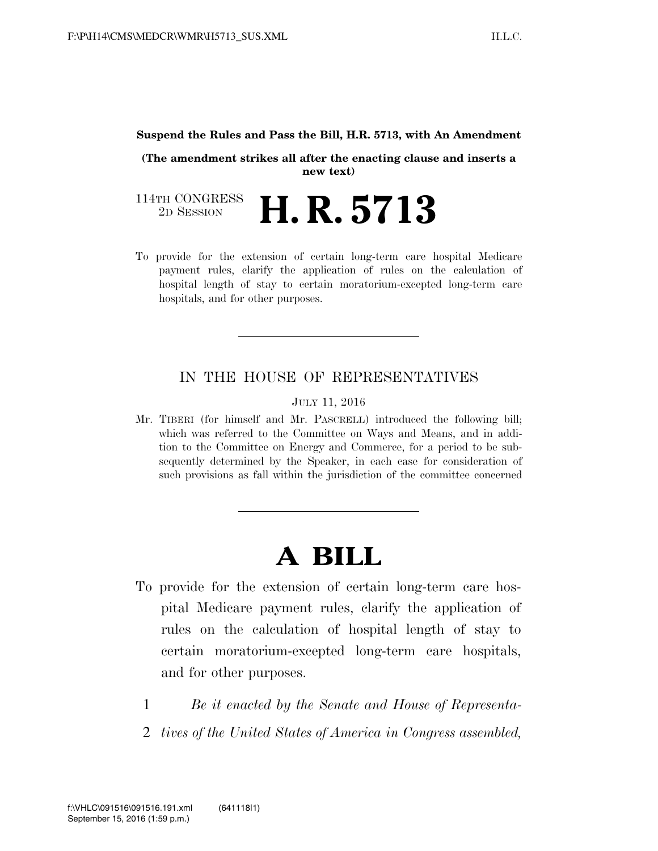#### **Suspend the Rules and Pass the Bill, H.R. 5713, with An Amendment**

**(The amendment strikes all after the enacting clause and inserts a new text)** 

114TH CONGRESS<br>2D SESSION 2D SESSION **H. R. 5713**

To provide for the extension of certain long-term care hospital Medicare payment rules, clarify the application of rules on the calculation of hospital length of stay to certain moratorium-excepted long-term care hospitals, and for other purposes.

# IN THE HOUSE OF REPRESENTATIVES

JULY 11, 2016

Mr. TIBERI (for himself and Mr. PASCRELL) introduced the following bill; which was referred to the Committee on Ways and Means, and in addition to the Committee on Energy and Commerce, for a period to be subsequently determined by the Speaker, in each case for consideration of such provisions as fall within the jurisdiction of the committee concerned

# **A BILL**

- To provide for the extension of certain long-term care hospital Medicare payment rules, clarify the application of rules on the calculation of hospital length of stay to certain moratorium-excepted long-term care hospitals, and for other purposes.
	- 1 *Be it enacted by the Senate and House of Representa-*
	- 2 *tives of the United States of America in Congress assembled,*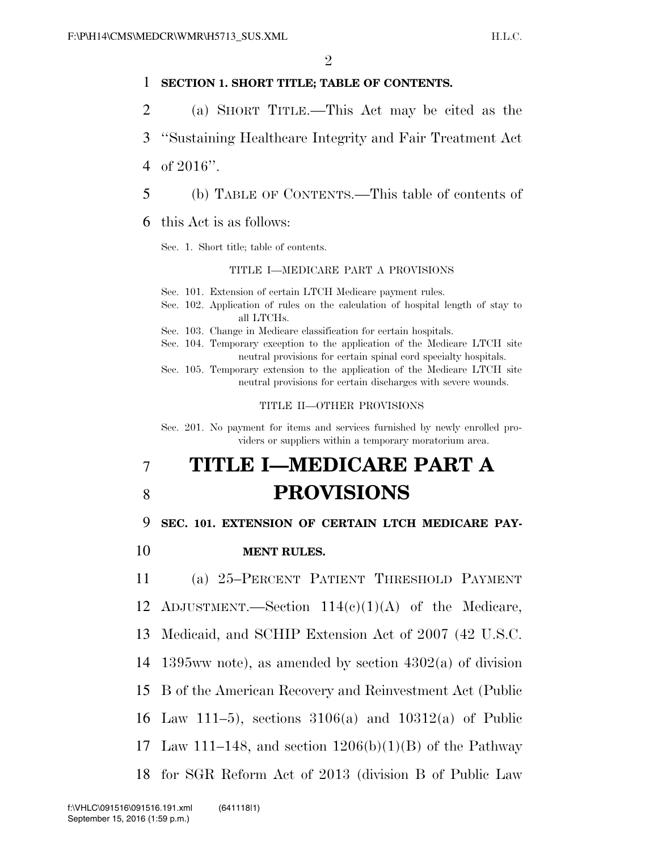## 1 **SECTION 1. SHORT TITLE; TABLE OF CONTENTS.**

- 2 (a) SHORT TITLE.—This Act may be cited as the
- 3 ''Sustaining Healthcare Integrity and Fair Treatment Act
- 4 of 2016''.
- 5 (b) TABLE OF CONTENTS.—This table of contents of

6 this Act is as follows:

Sec. 1. Short title; table of contents.

#### TITLE I—MEDICARE PART A PROVISIONS

- Sec. 101. Extension of certain LTCH Medicare payment rules.
- Sec. 102. Application of rules on the calculation of hospital length of stay to all LTCHs.
- Sec. 103. Change in Medicare classification for certain hospitals.
- Sec. 104. Temporary exception to the application of the Medicare LTCH site neutral provisions for certain spinal cord specialty hospitals.
- Sec. 105. Temporary extension to the application of the Medicare LTCH site neutral provisions for certain discharges with severe wounds.

#### TITLE II—OTHER PROVISIONS

Sec. 201. No payment for items and services furnished by newly enrolled providers or suppliers within a temporary moratorium area.

# 7 **TITLE I—MEDICARE PART A**  8 **PROVISIONS**

### 9 **SEC. 101. EXTENSION OF CERTAIN LTCH MEDICARE PAY-**

10 **MENT RULES.** 

11 (a) 25–PERCENT PATIENT THRESHOLD PAYMENT

12 ADJUSTMENT.—Section  $114(e)(1)(A)$  of the Medicare,

- 13 Medicaid, and SCHIP Extension Act of 2007 (42 U.S.C.
- 14 1395ww note), as amended by section 4302(a) of division
- 15 B of the American Recovery and Reinvestment Act (Public
- 16 Law 111–5), sections 3106(a) and 10312(a) of Public
- 17 Law 111–148, and section  $1206(b)(1)(B)$  of the Pathway
- 18 for SGR Reform Act of 2013 (division B of Public Law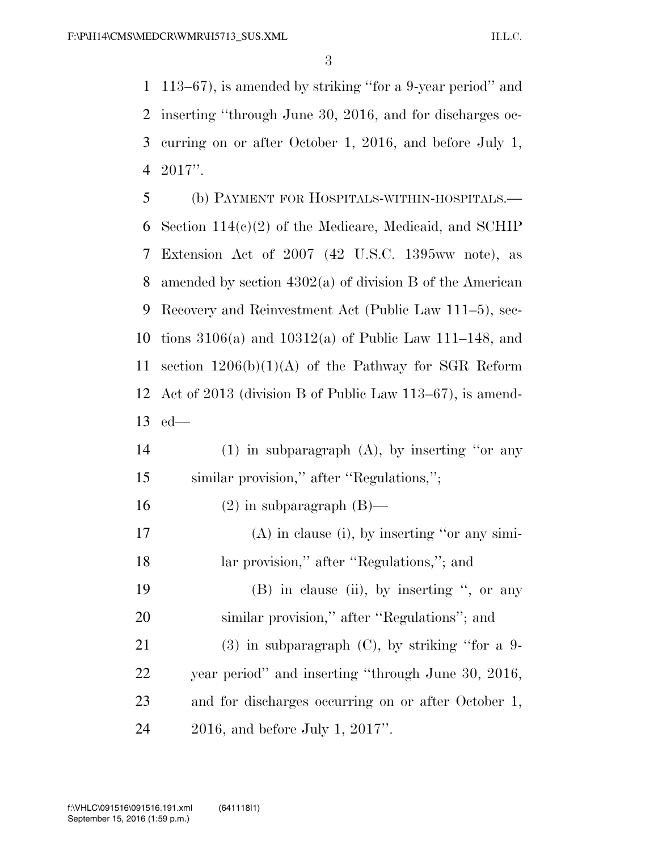113–67), is amended by striking ''for a 9-year period'' and inserting ''through June 30, 2016, and for discharges oc- curring on or after October 1, 2016, and before July 1, 2017''.

 (b) PAYMENT FOR HOSPITALS-WITHIN-HOSPITALS.— Section 114(c)(2) of the Medicare, Medicaid, and SCHIP Extension Act of 2007 (42 U.S.C. 1395ww note), as amended by section 4302(a) of division B of the American Recovery and Reinvestment Act (Public Law 111–5), sec- tions 3106(a) and 10312(a) of Public Law 111–148, and 11 section  $1206(b)(1)(A)$  of the Pathway for SGR Reform Act of 2013 (division B of Public Law 113–67), is amend-ed—

- (1) in subparagraph (A), by inserting ''or any similar provision,'' after ''Regulations,'';
- 16 (2) in subparagraph  $(B)$ —
- (A) in clause (i), by inserting ''or any simi-18 lar provision," after "Regulations,"; and
- 19 (B) in clause (ii), by inserting ", or any similar provision,'' after ''Regulations''; and
- 21 (3) in subparagraph (C), by striking "for a 9- year period'' and inserting ''through June 30, 2016, and for discharges occurring on or after October 1, 2016, and before July 1, 2017''.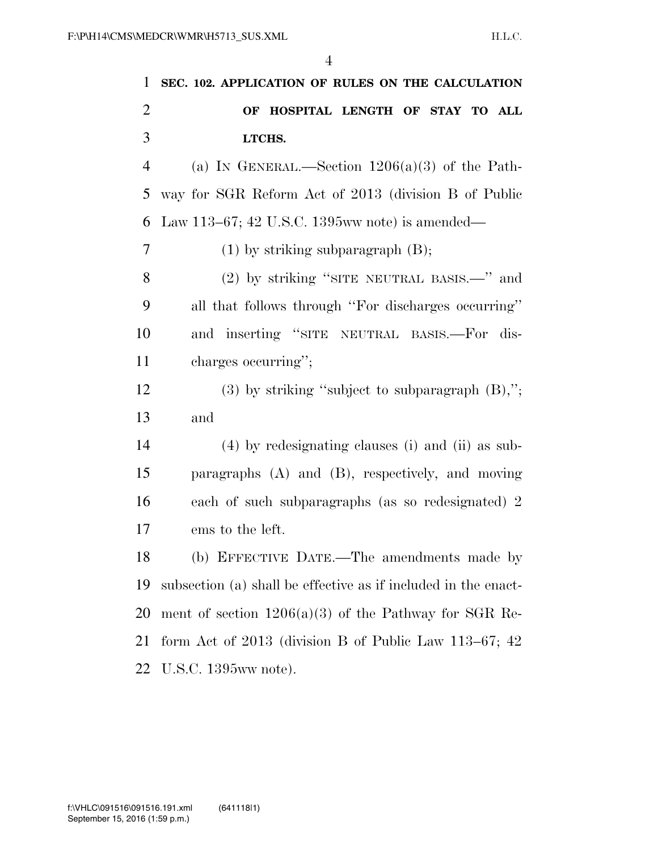| 1              | SEC. 102. APPLICATION OF RULES ON THE CALCULATION              |
|----------------|----------------------------------------------------------------|
| $\overline{2}$ | OF HOSPITAL LENGTH OF STAY TO ALL                              |
| 3              | LTCHS.                                                         |
| $\overline{4}$ | (a) IN GENERAL.—Section $1206(a)(3)$ of the Path-              |
| 5              | way for SGR Reform Act of 2013 (division B of Public           |
| 6              | Law 113–67; 42 U.S.C. 1395 www note) is amended—               |
| 7              | $(1)$ by striking subparagraph $(B)$ ;                         |
| 8              | (2) by striking "SITE NEUTRAL BASIS.—" and                     |
| 9              | all that follows through "For discharges occurring"            |
| 10             | and inserting "SITE NEUTRAL BASIS.-For dis-                    |
| 11             | charges occurring";                                            |
| 12             | $(3)$ by striking "subject to subparagraph $(B)$ ,";           |
| 13             | and                                                            |
| 14             | $(4)$ by redesignating clauses (i) and (ii) as sub-            |
| 15             | paragraphs $(A)$ and $(B)$ , respectively, and moving          |
| 16             | each of such subparagraphs (as so redesignated) 2              |
| 17             | ems to the left.                                               |
| 18             | (b) EFFECTIVE DATE.—The amendments made by                     |
| 19             | subsection (a) shall be effective as if included in the enact- |
| 20             | ment of section $1206(a)(3)$ of the Pathway for SGR Re-        |
| 21             | form Act of 2013 (division B of Public Law 113–67; $42$        |
| 22             | U.S.C. 1395ww note).                                           |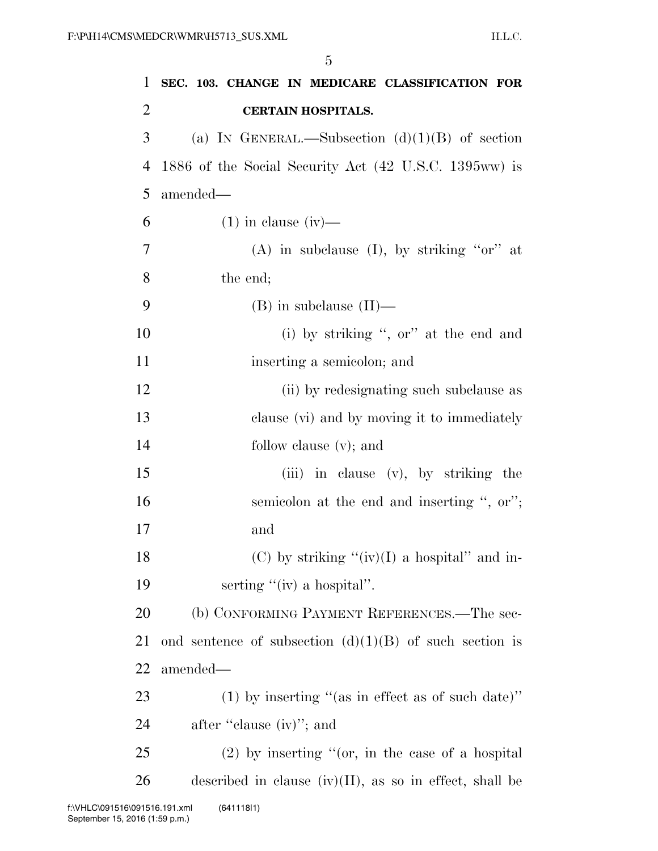| $\mathbf{1}$   | SEC. 103. CHANGE IN MEDICARE CLASSIFICATION FOR            |
|----------------|------------------------------------------------------------|
| $\overline{2}$ | <b>CERTAIN HOSPITALS.</b>                                  |
| 3              | (a) IN GENERAL.—Subsection $(d)(1)(B)$ of section          |
| $\overline{4}$ | 1886 of the Social Security Act (42 U.S.C. 1395ww) is      |
| 5              | amended—                                                   |
| 6              | $(1)$ in clause $(iv)$ —                                   |
| 7              | (A) in subclause (I), by striking "or" at                  |
| 8              | the end;                                                   |
| 9              | $(B)$ in subclause $(II)$ —                                |
| 10             | (i) by striking ", or" at the end and                      |
| 11             | inserting a semicolon; and                                 |
| 12             | (ii) by redesignating such subclause as                    |
| 13             | clause (vi) and by moving it to immediately                |
| 14             | follow clause $(v)$ ; and                                  |
| 15             | (iii) in clause (v), by striking the                       |
| 16             | semicolon at the end and inserting ", or";                 |
| 17             | and                                                        |
| 18             | (C) by striking " $(iv)(I)$ a hospital" and in-            |
| 19             | serting " $(iv)$ a hospital".                              |
| 20             | (b) CONFORMING PAYMENT REFERENCES.—The sec-                |
| 21             | ond sentence of subsection $(d)(1)(B)$ of such section is  |
| 22             | amended—                                                   |
| 23             | (1) by inserting "(as in effect as of such date)"          |
| 24             | after "clause (iv)"; and                                   |
| 25             | $(2)$ by inserting "(or, in the case of a hospital         |
| 26             | described in clause $(iv)(II)$ , as so in effect, shall be |
|                | 091516.191.xml<br>(64111811)                               |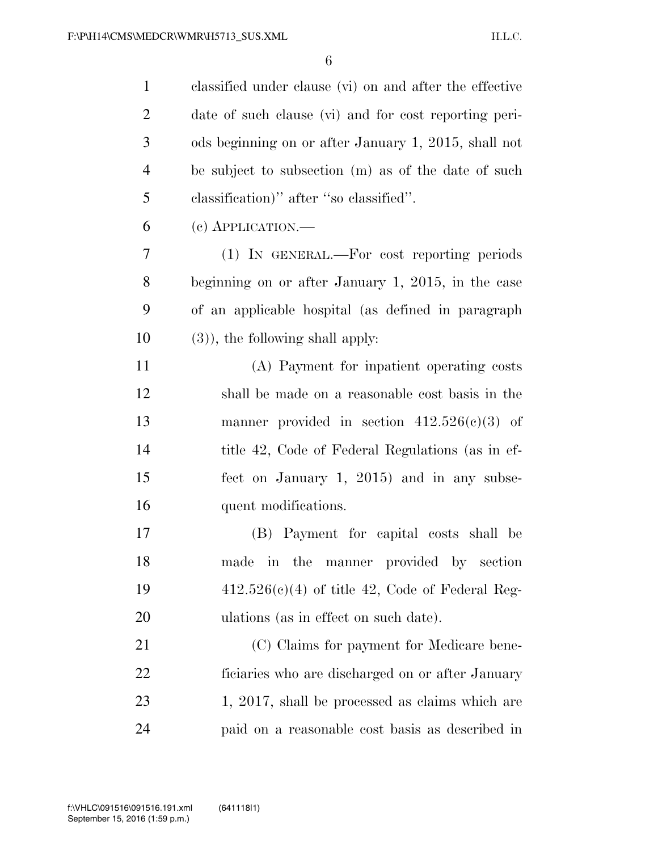| $\mathbf{1}$   | classified under clause (vi) on and after the effective |
|----------------|---------------------------------------------------------|
| $\overline{2}$ | date of such clause (vi) and for cost reporting peri-   |
| 3              | ods beginning on or after January 1, 2015, shall not    |
| $\overline{4}$ | be subject to subsection (m) as of the date of such     |
| 5              | classification)" after "so classified".                 |
| 6              | $(e)$ APPLICATION.—                                     |
| 7              | (1) IN GENERAL.—For cost reporting periods              |
| 8              | beginning on or after January 1, 2015, in the case      |
| 9              | of an applicable hospital (as defined in paragraph      |
| 10             | $(3)$ , the following shall apply:                      |
| 11             | (A) Payment for inpatient operating costs               |
| 12             | shall be made on a reasonable cost basis in the         |
| 13             | manner provided in section $412.526(c)(3)$ of           |
| 14             | title 42, Code of Federal Regulations (as in ef-        |
| 15             | fect on January 1, 2015) and in any subse-              |
| 16             | quent modifications.                                    |
| 17             | (B) Payment for capital costs shall be                  |
| 18             | made in the manner provided by section                  |
| 19             | $412.526(c)(4)$ of title 42, Code of Federal Reg-       |
| 20             | ulations (as in effect on such date).                   |
| 21             | (C) Claims for payment for Medicare bene-               |
| 22             | ficiaries who are discharged on or after January        |
| 23             | 1, 2017, shall be processed as claims which are         |
| 24             | paid on a reasonable cost basis as described in         |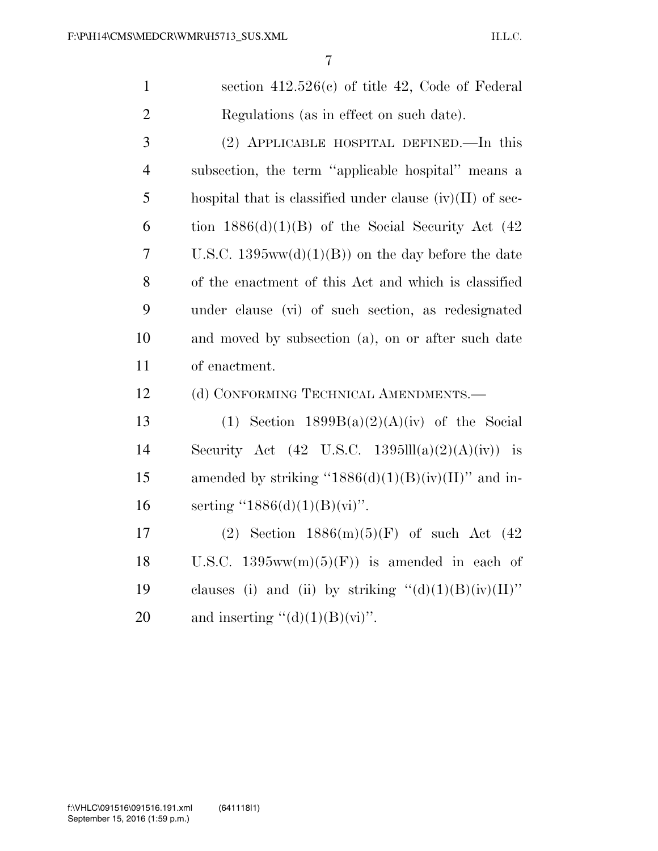1 section 412.526(c) of title 42, Code of Federal 2 Regulations (as in effect on such date).

 (2) APPLICABLE HOSPITAL DEFINED.—In this subsection, the term ''applicable hospital'' means a 5 hospital that is classified under clause  $(iv)(II)$  of sec-6 tion  $1886(d)(1)(B)$  of the Social Security Act (42) U.S.C. 1395ww(d)(1)(B)) on the day before the date of the enactment of this Act and which is classified under clause (vi) of such section, as redesignated and moved by subsection (a), on or after such date of enactment.

12 (d) CONFORMING TECHNICAL AMENDMENTS.—

13 (1) Section  $1899B(a)(2)(A)(iv)$  of the Social 14 Security Act  $(42 \text{ U.S.C. } 1395\text{III}(a)(2)(A)(iv))$  is 15 amended by striking " $1886(d)(1)(B)(iv)(II)$ " and in-16 serting  $(1886(d)(1)(B)(vi))$ .

17 (2) Section 1886(m)(5)(F) of such Act (42 18 U.S.C.  $1395ww(m)(5)(F)$  is amended in each of 19 clauses (i) and (ii) by striking  $"(\mathrm{d})(1)(\mathrm{B})(\mathrm{iv})(\mathrm{II})"$ 20 and inserting  $\lq (d)(1)(B)(vi)$ .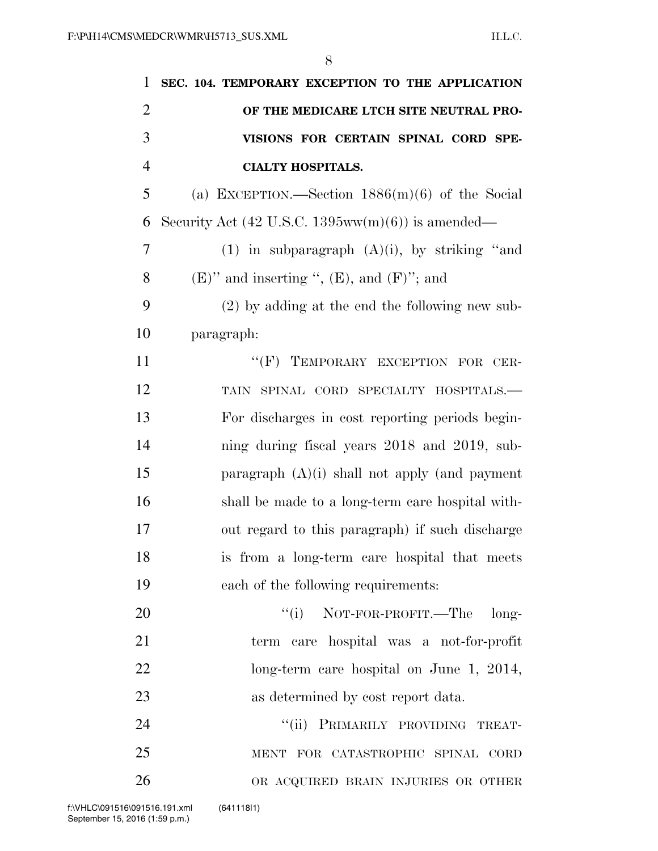| 1              | SEC. 104. TEMPORARY EXCEPTION TO THE APPLICATION                     |
|----------------|----------------------------------------------------------------------|
| $\overline{2}$ | OF THE MEDICARE LTCH SITE NEUTRAL PRO-                               |
| 3              | VISIONS FOR CERTAIN SPINAL CORD SPE-                                 |
| $\overline{4}$ | <b>CIALTY HOSPITALS.</b>                                             |
| 5              | (a) EXCEPTION.—Section $1886(m)(6)$ of the Social                    |
| 6              | Security Act $(42 \text{ U.S.C. } 1395 \text{ww(m)}(6))$ is amended— |
| 7              | (1) in subparagraph $(A)(i)$ , by striking "and                      |
| 8              | $(E)$ " and inserting ", $(E)$ , and $(F)$ "; and                    |
| 9              | $(2)$ by adding at the end the following new sub-                    |
| 10             | paragraph:                                                           |
| 11             | "(F) TEMPORARY EXCEPTION FOR CER-                                    |
| 12             | TAIN SPINAL CORD SPECIALTY HOSPITALS.-                               |
| 13             | For discharges in cost reporting periods begin-                      |
| 14             | ning during fiscal years 2018 and 2019, sub-                         |
| 15             | paragraph $(A)(i)$ shall not apply (and payment                      |
| 16             | shall be made to a long-term care hospital with-                     |
| 17             | out regard to this paragraph) if such discharge                      |
| 18             | is from a long-term care hospital that meets                         |
| 19             | each of the following requirements:                                  |
| 20             | $``(i)$ NOT-FOR-PROFIT.—The<br>long-                                 |
| 21             | term care hospital was a not-for-profit                              |
| 22             | long-term care hospital on June 1, 2014,                             |
| 23             | as determined by cost report data.                                   |
| 24             | ``(ii)<br>PRIMARILY PROVIDING TREAT-                                 |
| 25             | MENT FOR CATASTROPHIC SPINAL CORD                                    |
| 26             | OR ACQUIRED BRAIN INJURIES OR OTHER                                  |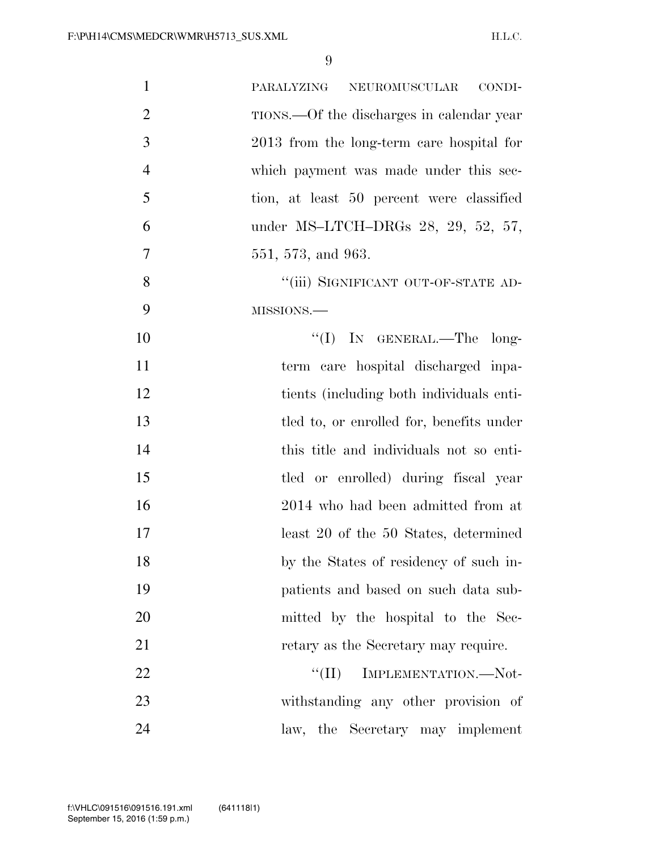| $\mathbf{1}$   | NEUROMUSCULAR<br>CONDI-<br>PARALYZING     |
|----------------|-------------------------------------------|
| $\overline{2}$ | TIONS.—Of the discharges in calendar year |
| 3              | 2013 from the long-term care hospital for |
| $\overline{4}$ | which payment was made under this sec-    |
| 5              | tion, at least 50 percent were classified |
| 6              | under MS-LTCH-DRGs 28, 29, 52, 57,        |
| 7              | 551, 573, and 963.                        |
| 8              | "(iii) SIGNIFICANT OUT-OF-STATE AD-       |
| 9              | MISSIONS.-                                |
| 10             | "(I) IN GENERAL.—The long-                |
| 11             | term care hospital discharged inpa-       |
| 12             | tients (including both individuals enti-  |
| 13             | tled to, or enrolled for, benefits under  |
| 14             | this title and individuals not so enti-   |
| 15             | tled or enrolled) during fiscal year      |
| 16             | 2014 who had been admitted from at        |
| 17             | least 20 of the 50 States, determined     |
| 18             | by the States of residency of such in-    |
| 19             | patients and based on such data sub-      |
| 20             | mitted by the hospital to the Sec-        |
| 21             | retary as the Secretary may require.      |
| 22             | ``(II)<br>IMPLEMENTATION.-Not-            |
| 23             | withstanding any other provision of       |
| 24             | law, the Secretary may implement          |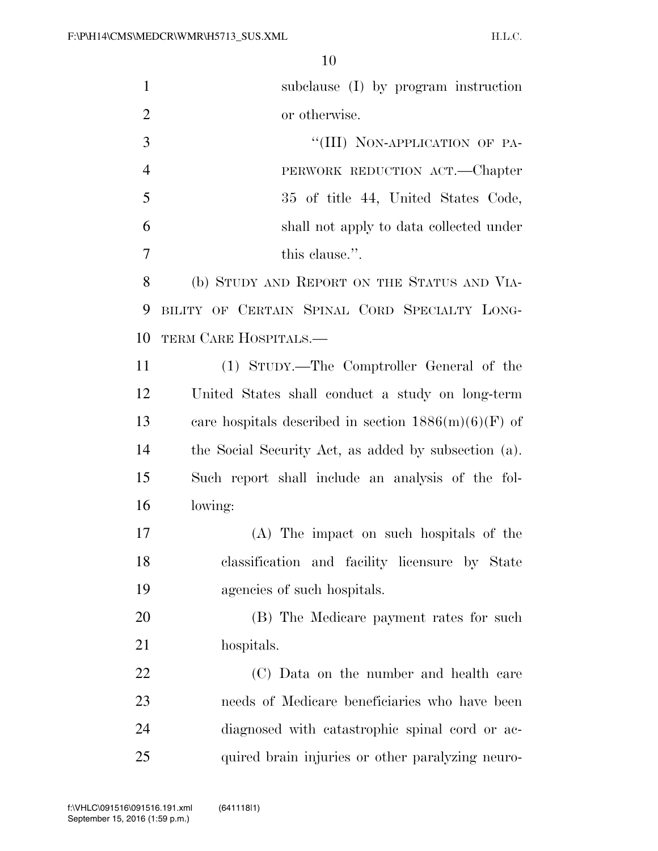| $\mathbf{1}$   | subclause (I) by program instruction                   |
|----------------|--------------------------------------------------------|
| $\overline{2}$ | or otherwise.                                          |
| 3              | "(III) NON-APPLICATION OF PA-                          |
| $\overline{4}$ | PERWORK REDUCTION ACT.—Chapter                         |
| 5              | 35 of title 44, United States Code,                    |
| 6              | shall not apply to data collected under                |
| 7              | this clause.".                                         |
| 8              | (b) STUDY AND REPORT ON THE STATUS AND VIA-            |
| 9              | BILITY OF CERTAIN SPINAL CORD SPECIALTY LONG-          |
| 10             | TERM CARE HOSPITALS.—                                  |
| 11             | (1) STUDY.—The Comptroller General of the              |
| 12             | United States shall conduct a study on long-term       |
| 13             | care hospitals described in section $1886(m)(6)(F)$ of |
| 14             | the Social Security Act, as added by subsection (a).   |
| 15             | Such report shall include an analysis of the fol-      |
| 16             | lowing:                                                |
| 17             | (A) The impact on such hospitals of the                |
| 18             | classification and facility licensure by State         |
| 19             | agencies of such hospitals.                            |
| 20             | (B) The Medicare payment rates for such                |
| 21             | hospitals.                                             |
| 22             | (C) Data on the number and health care                 |
| 23             | needs of Medicare beneficiaries who have been          |
| 24             | diagnosed with catastrophic spinal cord or ac-         |
| 25             | quired brain injuries or other paralyzing neuro-       |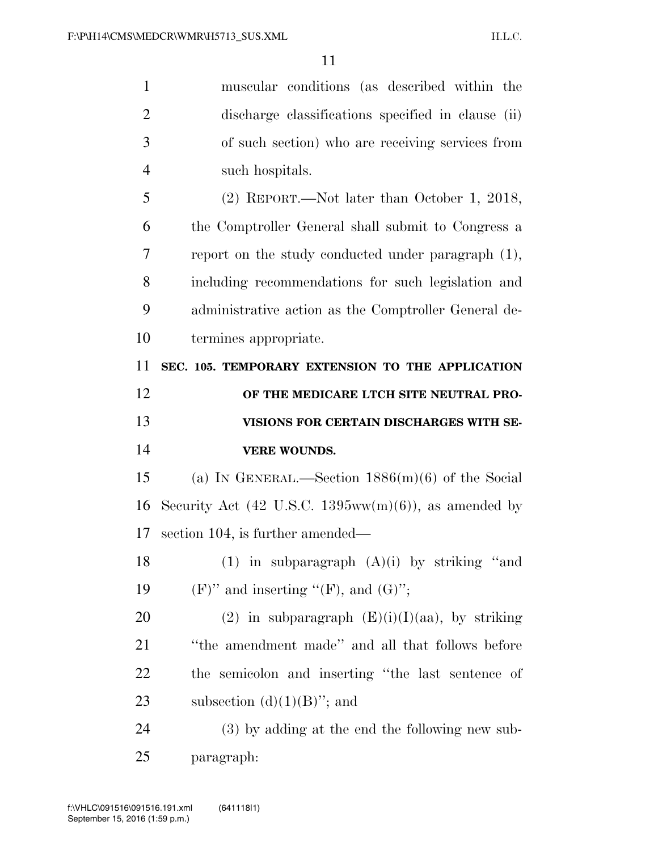| $\mathbf{1}$   | muscular conditions (as described within the          |
|----------------|-------------------------------------------------------|
| $\overline{2}$ | discharge classifications specified in clause (ii)    |
| 3              | of such section) who are receiving services from      |
| $\overline{4}$ | such hospitals.                                       |
| 5              | $(2)$ REPORT.—Not later than October 1, 2018,         |
| 6              | the Comptroller General shall submit to Congress a    |
| 7              | report on the study conducted under paragraph $(1)$ , |
| 8              | including recommendations for such legislation and    |
| 9              | administrative action as the Comptroller General de-  |
| 10             | termines appropriate.                                 |
| 11             | SEC. 105. TEMPORARY EXTENSION TO THE APPLICATION      |
| 12             | OF THE MEDICARE LTCH SITE NEUTRAL PRO-                |
|                |                                                       |
| 13             | VISIONS FOR CERTAIN DISCHARGES WITH SE-               |
| 14             | <b>VERE WOUNDS.</b>                                   |
| 15             | (a) IN GENERAL.—Section $1886(m)(6)$ of the Social    |
| 16             | Security Act (42 U.S.C. 1395ww(m)(6)), as amended by  |
| 17             | section 104, is further amended—                      |
| 18             | (1) in subparagraph $(A)(i)$ by striking "and         |
| 19             | $(F)$ " and inserting "(F), and $(G)$ ";              |
| 20             | (2) in subparagraph $(E)(i)(I)(aa)$ , by striking     |
| 21             | "the amendment made" and all that follows before      |
| 22             | the semicolon and inserting "the last sentence of     |
| 23             | subsection $(d)(1)(B)$ "; and                         |
| 24             | (3) by adding at the end the following new sub-       |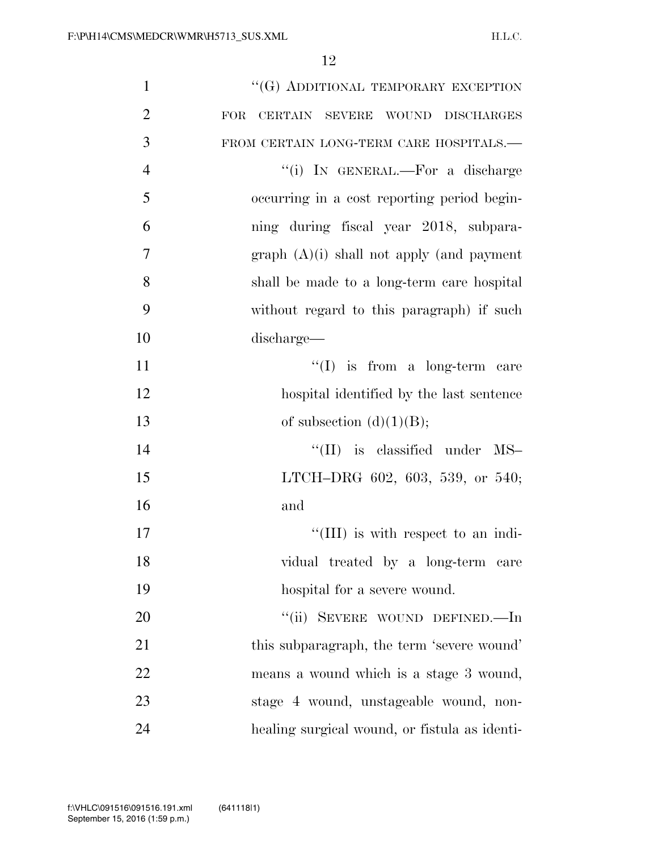| $\mathbf{1}$   | "(G) ADDITIONAL TEMPORARY EXCEPTION           |
|----------------|-----------------------------------------------|
| $\overline{2}$ | CERTAIN SEVERE WOUND DISCHARGES<br><b>FOR</b> |
| 3              | FROM CERTAIN LONG-TERM CARE HOSPITALS.-       |
| $\overline{4}$ | "(i) IN GENERAL.—For a discharge              |
| 5              | occurring in a cost reporting period begin-   |
| 6              | ning during fiscal year 2018, subpara-        |
| 7              | $graph (A)(i) shall not apply (and payment)$  |
| 8              | shall be made to a long-term care hospital    |
| 9              | without regard to this paragraph) if such     |
| 10             | discharge—                                    |
| 11             | $\lq\lq$ is from a long-term care             |
| 12             | hospital identified by the last sentence      |
| 13             | of subsection $(d)(1)(B);$                    |
| 14             | $\lq\lq$ (II) is classified under MS-         |
| 15             | LTCH-DRG 602, 603, 539, or 540;               |
| 16             | and                                           |
| 17             | $\lq\lq$ (III) is with respect to an indi-    |
| 18             | vidual treated by a long-term care            |
| 19             | hospital for a severe wound.                  |
| 20             | "(ii) SEVERE WOUND DEFINED.—In                |
| 21             | this subparagraph, the term 'severe wound'    |
| 22             | means a wound which is a stage 3 wound,       |
| 23             | stage 4 wound, unstageable wound, non-        |
| 24             | healing surgical wound, or fistula as identi- |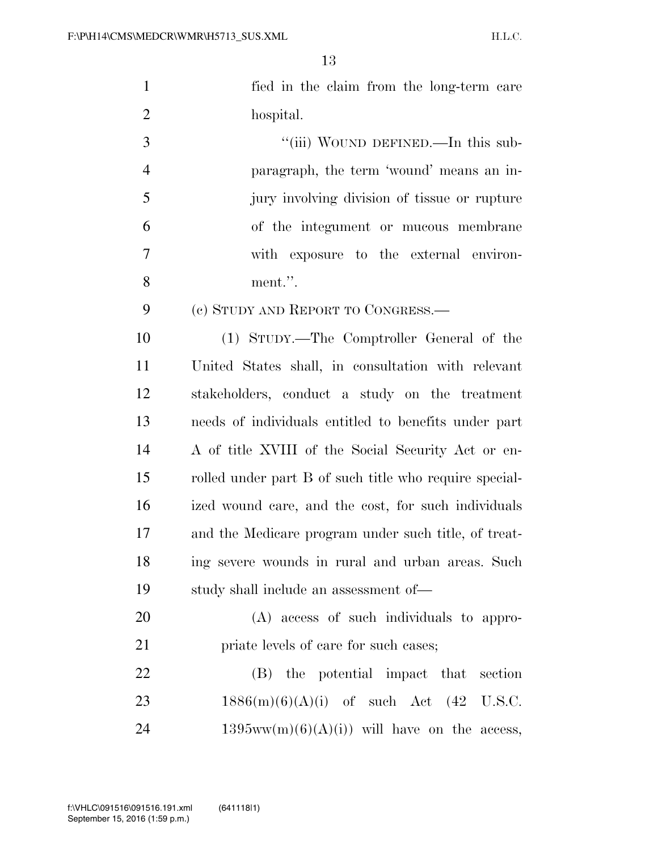| $\mathbf{1}$   | fied in the claim from the long-term care              |
|----------------|--------------------------------------------------------|
| $\mathfrak{2}$ | hospital.                                              |
| 3              | "(iii) WOUND DEFINED.—In this sub-                     |
| 4              | paragraph, the term 'wound' means an in-               |
| 5              | jury involving division of tissue or rupture           |
| 6              | of the integument or mucous membrane                   |
| 7              | with exposure to the external environ-                 |
| 8              | ment.".                                                |
| 9              | (c) STUDY AND REPORT TO CONGRESS.—                     |
| 10             | (1) STUDY.—The Comptroller General of the              |
| 11             | United States shall, in consultation with relevant     |
| 12             | stakeholders, conduct a study on the treatment         |
| 13             | needs of individuals entitled to benefits under part   |
| 14             | A of title XVIII of the Social Security Act or en-     |
| 15             | rolled under part B of such title who require special- |
| 16             | ized wound care, and the cost, for such individuals    |
| 17             | and the Medicare program under such title, of treat-   |
| 18             | ing severe wounds in rural and urban areas. Such       |
| 19             | study shall include an assessment of—                  |
| 20             | (A) access of such individuals to appro-               |
| 21             | priate levels of care for such cases;                  |
| 22             | (B) the potential impact that section                  |
| 23             | $1886(m)(6)(A)(i)$ of such Act $(42 \text{ U.S.C.})$   |
| 24             | $1395ww(m)(6)(A(i))$ will have on the access,          |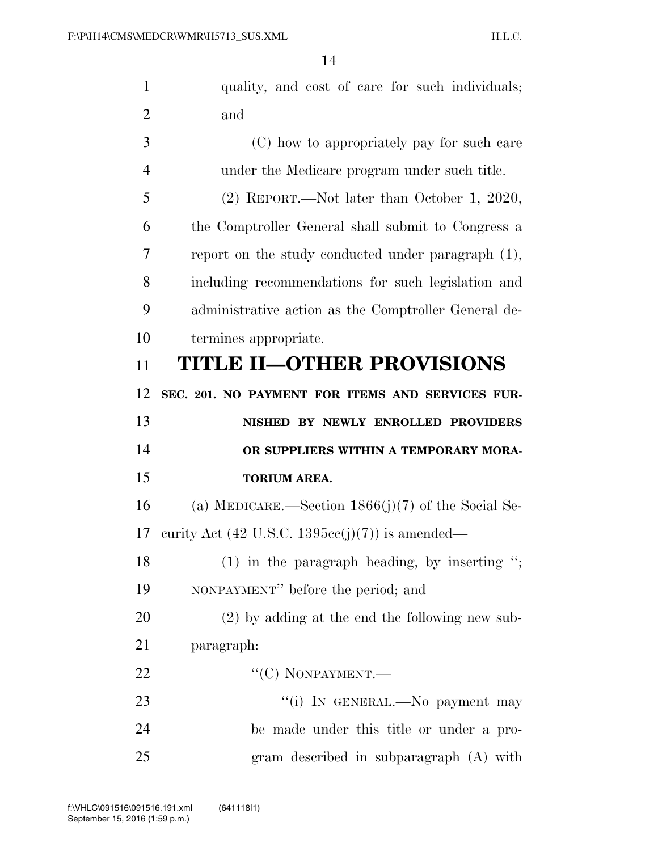| $\mathbf{1}$   | quality, and cost of care for such individuals;                   |
|----------------|-------------------------------------------------------------------|
| $\overline{2}$ | and                                                               |
| 3              | (C) how to appropriately pay for such care                        |
| 4              | under the Medicare program under such title.                      |
| 5              | $(2)$ REPORT.—Not later than October 1, 2020,                     |
| 6              | the Comptroller General shall submit to Congress a                |
| 7              | report on the study conducted under paragraph $(1)$ ,             |
| 8              | including recommendations for such legislation and                |
| 9              | administrative action as the Comptroller General de-              |
| 10             | termines appropriate.                                             |
| 11             | <b>TITLE II-OTHER PROVISIONS</b>                                  |
| 12             | SEC. 201. NO PAYMENT FOR ITEMS AND SERVICES FUR-                  |
|                |                                                                   |
| 13             | NISHED BY NEWLY ENROLLED PROVIDERS                                |
| 14             | OR SUPPLIERS WITHIN A TEMPORARY MORA-                             |
| 15             | <b>TORIUM AREA.</b>                                               |
| 16             | (a) MEDICARE.—Section $1866(j)(7)$ of the Social Se-              |
| 17             | curity Act $(42 \text{ U.S.C. } 1395\text{cc}(j)(7))$ is amended— |
| 18             | $(1)$ in the paragraph heading, by inserting ";                   |
| 19             | NONPAYMENT" before the period; and                                |
| 20             | $(2)$ by adding at the end the following new sub-                 |
| 21             | paragraph:                                                        |
| 22             | " $(C)$ NONPAYMENT.—                                              |
| 23             | "(i) IN GENERAL.—No payment may                                   |
| 24             | be made under this title or under a pro-                          |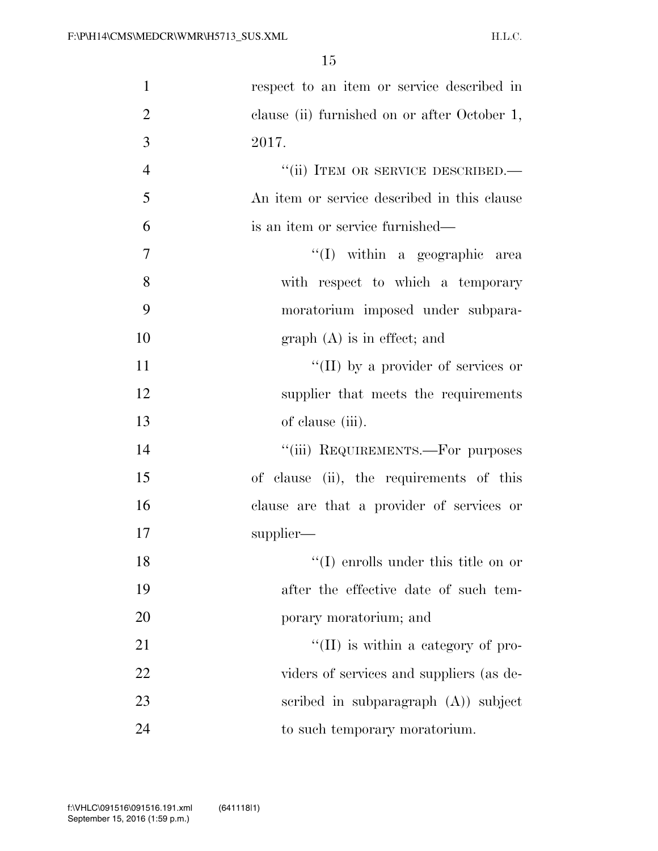| $\mathbf{1}$   | respect to an item or service described in   |
|----------------|----------------------------------------------|
| $\overline{2}$ | clause (ii) furnished on or after October 1, |
| 3              | 2017.                                        |
| $\overline{4}$ | "(ii) ITEM OR SERVICE DESCRIBED.-            |
| 5              | An item or service described in this clause  |
| 6              | is an item or service furnished—             |
| 7              | "(I) within a geographic area                |
| 8              | with respect to which a temporary            |
| 9              | moratorium imposed under subpara-            |
| 10             | $graph(A)$ is in effect; and                 |
| 11             | "(II) by a provider of services or           |
| 12             | supplier that meets the requirements         |
| 13             | of clause (iii).                             |
| 14             | "(iii) REQUIREMENTS.—For purposes            |
| 15             | of clause (ii), the requirements of this     |
| 16             | clause are that a provider of services or    |
| 17             | supplier—                                    |
| 18             | $\lq\lq$ (I) enrolls under this title on or  |
| 19             | after the effective date of such tem-        |
| 20             | porary moratorium; and                       |
| 21             | $\lq\lq$ (II) is within a category of pro-   |
| 22             | viders of services and suppliers (as de-     |
| 23             | scribed in subparagraph $(A)$ subject        |
| 24             | to such temporary moratorium.                |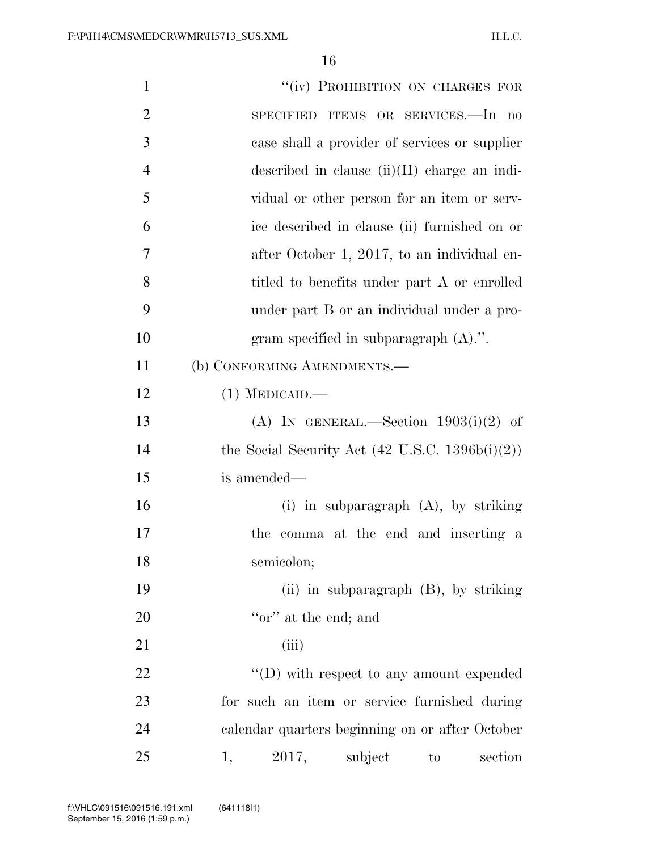| $\mathbf{1}$   | "(iv) PROHIBITION ON CHARGES FOR                           |
|----------------|------------------------------------------------------------|
| $\overline{2}$ | SPECIFIED ITEMS OR SERVICES.—In no                         |
| 3              | case shall a provider of services or supplier              |
| $\overline{4}$ | described in clause $(ii)(II)$ charge an indi-             |
| 5              | vidual or other person for an item or serv-                |
| 6              | ice described in clause (ii) furnished on or               |
| 7              | after October 1, 2017, to an individual en-                |
| 8              | titled to benefits under part A or enrolled                |
| 9              | under part B or an individual under a pro-                 |
| 10             | gram specified in subparagraph $(A)$ .".                   |
| 11             | (b) CONFORMING AMENDMENTS.-                                |
| 12             | $(1)$ MEDICAID.—                                           |
| 13             | (A) IN GENERAL.—Section $1903(i)(2)$ of                    |
| 14             | the Social Security Act $(42 \text{ U.S.C. } 1396b(i)(2))$ |
| 15             | is amended—                                                |
| 16             | (i) in subparagraph $(A)$ , by striking                    |
| 17             | the comma at the end and inserting a                       |
| 18             | semicolon;                                                 |
| 19             | (ii) in subparagraph $(B)$ , by striking                   |
| 20             | "or" at the end; and                                       |
| 21             | (iii)                                                      |
| 22             | $\lq\lq$ (D) with respect to any amount expended           |
| 23             | for such an item or service furnished during               |
| 24             | calendar quarters beginning on or after October            |
| 25             | 2017,<br>subject<br>section<br>1,<br>to                    |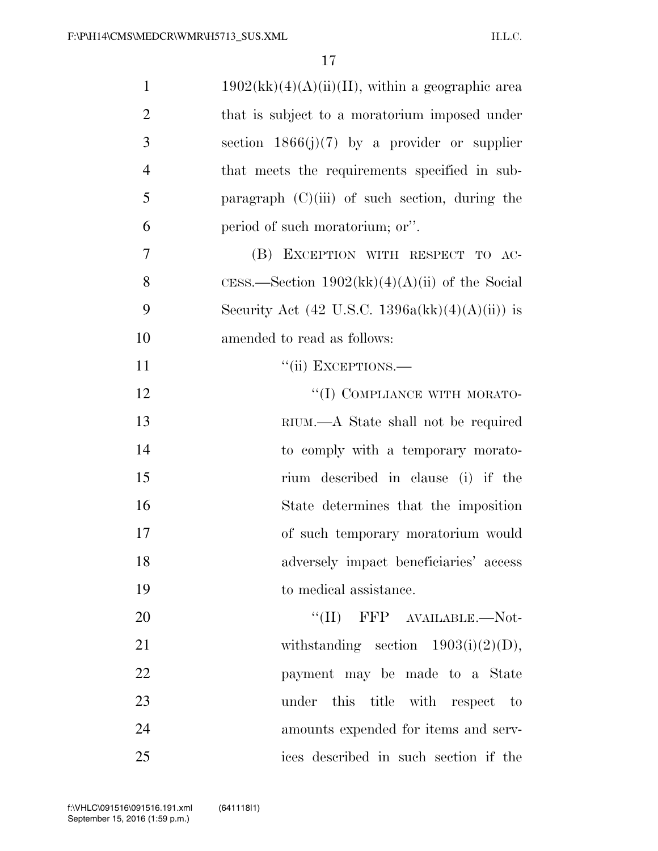| $\mathbf{1}$   | $1902(kk)(4)(A)(ii)(II)$ , within a geographic area |
|----------------|-----------------------------------------------------|
| $\overline{2}$ | that is subject to a moratorium imposed under       |
| 3              | section $1866(j)(7)$ by a provider or supplier      |
| $\overline{4}$ | that meets the requirements specified in sub-       |
| 5              | paragraph $(C)(iii)$ of such section, during the    |
| 6              | period of such moratorium; or".                     |
| $\overline{7}$ | (B) EXCEPTION WITH RESPECT TO AC-                   |
| 8              | CESS.—Section $1902(kk)(4)(A)(ii)$ of the Social    |
| 9              | Security Act (42 U.S.C. 1396a(kk)(4)(A)(ii)) is     |
| 10             | amended to read as follows:                         |
| 11             | "(ii) EXCEPTIONS.—                                  |
| 12             | "(I) COMPLIANCE WITH MORATO-                        |
| 13             | RIUM.—A State shall not be required                 |
| 14             | to comply with a temporary morato-                  |
| 15             | rium described in clause (i) if the                 |
| 16             | State determines that the imposition                |
| 17             | of such temporary moratorium would                  |
| 18             | adversely impact beneficiaries' access              |
| 19             | to medical assistance.                              |
| 20             | $``(II)$ FFP $AVAILABLE$ . Not-                     |
| 21             | withstanding section $1903(i)(2)(D)$ ,              |
| 22             | payment may be made to a State                      |
| 23             | under this title with respect to                    |
| 24             | amounts expended for items and serv-                |
| 25             | ices described in such section if the               |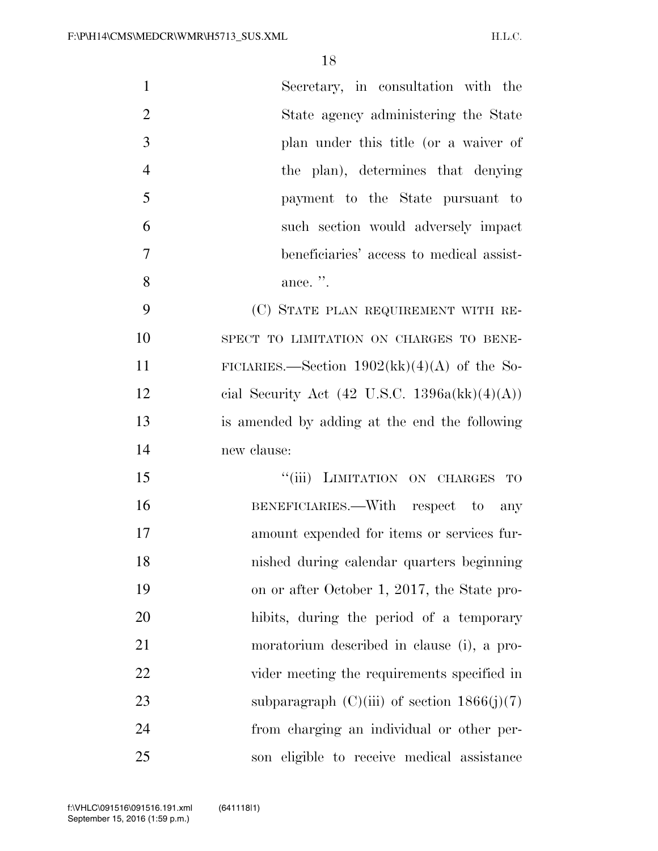| $\mathbf{1}$<br>Secretary, in consultation with the            |
|----------------------------------------------------------------|
| $\overline{2}$<br>State agency administering the State         |
| 3<br>plan under this title (or a waiver of                     |
| $\overline{4}$<br>the plan), determines that denying           |
| 5<br>payment to the State pursuant to                          |
| 6<br>such section would adversely impact                       |
| $\overline{7}$<br>beneficiaries' access to medical assist-     |
| 8<br>ance. ".                                                  |
| 9<br>(C) STATE PLAN REQUIREMENT WITH RE-                       |
| 10<br>SPECT TO LIMITATION ON CHARGES TO BENE-                  |
| 11<br>FICIARIES.—Section $1902(kk)(4)(A)$ of the So-           |
| 12<br>cial Security Act $(42 \text{ U.S.C. } 1396a(kk)(4)(A))$ |
| 13<br>is amended by adding at the end the following            |
| 14<br>new clause:                                              |
| "(iii) LIMITATION ON CHARGES TO<br>15                          |
| 16<br>BENEFICIARIES.—With respect to any                       |
| 17<br>amount expended for items or services fur-               |
| 18<br>nished during calendar quarters beginning                |
| 19<br>on or after October 1, 2017, the State pro-              |
| 20<br>hibits, during the period of a temporary                 |
| 21<br>moratorium described in clause (i), a pro-               |
| 22<br>vider meeting the requirements specified in              |
| 23<br>subparagraph $(C)(iii)$ of section $1866(j)(7)$          |
| 24<br>from charging an individual or other per-                |
| 25<br>son eligible to receive medical assistance               |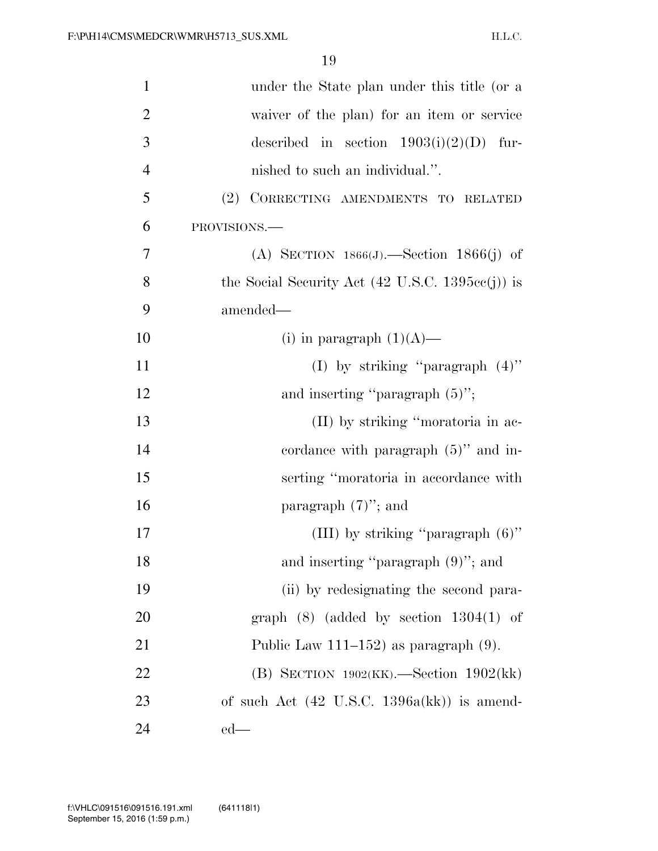| $\mathbf{1}$   | under the State plan under this title (or a                        |
|----------------|--------------------------------------------------------------------|
| $\overline{2}$ | waiver of the plan) for an item or service                         |
| 3              | described in section $1903(i)(2)(D)$ fur-                          |
| $\overline{4}$ | nished to such an individual.".                                    |
| 5              | (2) CORRECTING AMENDMENTS TO RELATED                               |
| 6              | PROVISIONS.-                                                       |
| 7              | (A) SECTION $1866(J)$ . Section $1866(j)$ of                       |
| 8              | the Social Security Act $(42 \text{ U.S.C. } 1395\text{cc}(j))$ is |
| 9              | amended—                                                           |
| 10             | (i) in paragraph $(1)(A)$ —                                        |
| 11             | (I) by striking "paragraph $(4)$ "                                 |
| 12             | and inserting "paragraph $(5)$ ";                                  |
| 13             | (II) by striking "moratoria in ac-                                 |
| 14             | cordance with paragraph $(5)$ " and in-                            |
| 15             | serting "moratoria in accordance with                              |
| 16             | paragraph $(7)$ "; and                                             |
| 17             | (III) by striking "paragraph $(6)$ "                               |
| 18             | and inserting "paragraph $(9)$ "; and                              |
| 19             | (ii) by redesignating the second para-                             |
| 20             | graph $(8)$ (added by section 1304 $(1)$ of                        |
| 21             | Public Law $111-152$ ) as paragraph $(9)$ .                        |
| 22             | (B) SECTION $1902(KK)$ . Section $1902(kk)$                        |
| 23             | of such Act $(42 \text{ U.S.C. } 1396a(kk))$ is amend-             |
| 24             | $ed$ —                                                             |